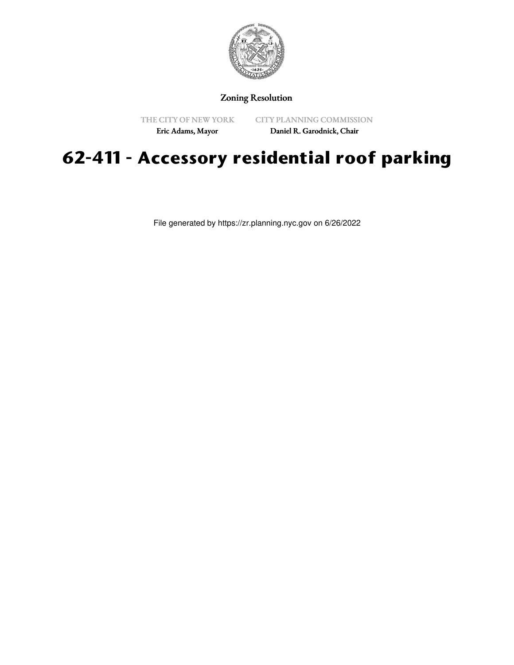

## Zoning Resolution

THE CITY OF NEW YORK

CITY PLANNING COMMISSION

Eric Adams, Mayor

Daniel R. Garodnick, Chair

## **62-411 - Accessory residential roof parking**

File generated by https://zr.planning.nyc.gov on 6/26/2022